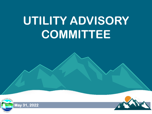# **UTILITY ADVISORY COMMITTEE**



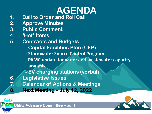# **AGENDA**

- **1. Call to Order and Roll Call**
- **2. Approve Minutes**
- **3. Public Comment**
- **4. 'Hot' Items**
- **5. Contracts and Budgets**
	- **- Capital Facilities Plan (CFP)**
	- **- Stormwater Source Control Program**
	- **- PAMC update for water and wastewater capacity analysis**
	- **- EV charging stations (verbal)**
- **6. Legislative Issues**
	- **7. Calendar of Actions & Meetings**
- **8. Next Meeting – July 12, 2022**



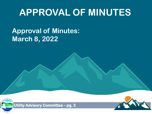## **APPROVAL OF MINUTES**

### **Approval of Minutes: March 8, 2022**



**Utility Advisory Committee – pg. 2** 

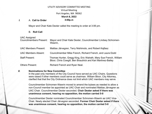#### UTILITY ADVISORY COMMITTEE MEETING Virtual Meeting Port Angeles, WA 98362 **March 8, 2022**

*I.* A. **Call to Order 3:00p.m**

Mayor and Chair Kate Dexter called the meeting to order at 3:06 pm.

#### B. **Roll Call**

#### UAC Assigned

Mayor and Chair Kate Dexter, Councilmember Lindsey Schromen-Wawrin,

UAC Members Present: Mattias Järvegren, Terry Nishimoto, and Robert Kajfasz

UAC Members Absent: Councilmember Mike French, Richard French, and Laura Dodd

Staff Present: Thomas Hunter, Gregg King, Eric Walrath, Mary Sue French, William Bloor, Chris Cowgill, Ben Braudrick and Kari Martinez-Bailey

Others Present: Richard French and Ryan Neal.

#### *II.* **Nominations for New Committee**

In the past only members of the City Council have served as UAC Chairs. Questions were raised if other members could serve as chairman. William Bloor, City Attorney, clarified that that the City Ordinance does not limit which UAC members may serve.

Councilmember Schromen-Wawrin moved to amend the bylaws as needed to allow a non-Council member be appointed as UAC Chair and nominated Mattias Järvegren as UAC Chair. Councilmember Dexter seconded. **Chair Dexter asked if there was unanimous consent, hearing no opposition, the motion carried 5-0**

Councilmember Dexter nominated Councilmember Schromen-Wawrin as UAC Vice-Chair. Newly elected Chair Järvegren seconded. **Former Chair Dexter asked if there was unanimous consent, hearing no opposition, the motion carried 5-0**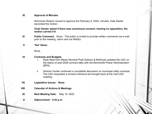#### *III.* **Approval of Minutes**

Schromen-Wawrin moved to approve the February 8, 2022, minutes. Kate Dexter seconded the motion.

#### **Chair Dexter asked if there was unanimous consent, hearing no opposition, the motion carried 5-0**

- *IV.* **Public Comment**: None The public is invited to provide written comments via e-mail prior to the meeting, call-in and via WebEx.
- *V.* **'Hot' Items:**

None.

#### *VI.* **Contracts and Budgets**

- i. Ryan Neal from Marsh Mundorf Pratt Sullivan & McKinzie updated the UAC on the status of post-2028 contract talks with the Bonneville Power Administration (BPA).
- ii. Director Hunter continued a roundtable discussion on municipal utility connects. The UAC requested a revised ordinance be brought back at the next UAC meeting.

- *VII.* **Legislative Issues: None**
- *VIII.* **Calendar of Actions & Meetings**
- *IX.* **Next Meeting Date:** May 10, 2022
- *X.* **Adjournment: 4:43 p.m.**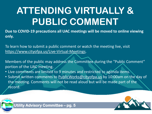## **ATTENDING VIRTUALLY & PUBLIC COMMENT**

**Due to COVID-19 precautions all UAC meetings will be moved to online viewing only.** 

To learn how to submit a public comment or watch the meeting live, visit <https://www.cityofpa.us/Live-Virtual-Meetings>.

Members of the public may address the Committee during the "Public Comment" portion of the UAC meeting.

- Live comments are limited to 3 minutes and restricted to agenda items.
- Submit written comments to [PublicWorks@cityofpa.us](mailto:PublicWorks@cityofpa.us) by 10:00am on the day of the meeting. Comments will not be read aloud but will be made part of the record.

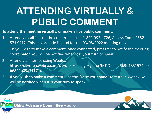## **ATTENDING VIRTUALLY & PUBLIC COMMENT**

**To attend the meeting virtually, or make a live public comment:** 

- 1. Attend via call-in; use the conference line: 1-844-992-4726; Access Code: 2552 571 9412. This access code is good for the 03/08/2022 meeting only.
	- If you wish to make a comment, once connected, press \*3 to notify the meeting coordinator. You will be notified when it is your turn to speak.
- 2. Attend via internet using WebEx: https://cityofpa.webex.com/cityofpa/onstage/g.php?MTID=e9cf5b9d1831574fae b6842b09a21171c
- 3. If you wish to make a comment, use the "raise your hand" feature in Webex. You will be notified when it is your turn to speak.



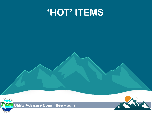## **'HOT' ITEMS**



**Utility Advisory Committee – pg. 7** 

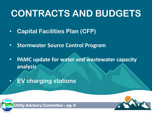## **CONTRACTS AND BUDGETS**

- **Capital Facilities Plan (CFP)**
- **Stormwater Source Control Program**
- **PAMC update for water and wastewater capacity analysis**
- **EV charging stations**



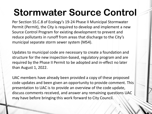## **Stormwater Source Control**

Per Section S5.C.8 of Ecology's 19-24 Phase II Municipal Stormwater Permit (Permit), the City is required to develop and implement a new Source Control Program for existing development to prevent and reduce pollutants in runoff from areas that discharge to the City's municipal separate storm sewer system (MS4).

Updates to municipal code are necessary to create a foundation and structure for the new inspection-based, regulatory program and are required by the Phase II Permit to be adopted and in-effect no later than August 1, 2022.

UAC members have already been provided a copy of these proposed code updates and been given an opportunity to provide comment. This presentation to UAC is to provide an overview of the code update, discuss comments received, and answer any remaining questions UAC may have before bringing this work forward to City Council.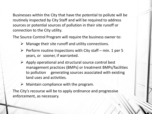Businesses within the City that have the potential to pollute will be routinely inspected by City Staff and will be required to address sources or potential sources of pollution in their site runoff or connection to the City utility.

The Source Control Program will require the business owner to:

- $\triangleright$  Manage their site runoff and utility connections.
- $\triangleright$  Perform routine Inspections with City staff min. 1 per 5 years, or sooner, if warranted.
- $\triangleright$  Apply operational and structural source control best management practices (BMPs) or treatment BMPs/facilities to pollution generating sources associated with existing land uses and activities.
- $\triangleright$  Maintain compliance with the program.

The City's recourse will be to apply ordinance and progressive enforcement, as necessary.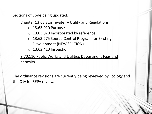Sections of Code being updated:

Chapter 13.63 Stormwater – Utility and Regulations

- o 13.63.010 Purpose
- o 13.63.020 Incorporated by reference
- o 13.63.275 Source Control Program for Existing Development (NEW SECTION)
- $\circ$  13.63.410 Inspection

3.70.110 Public Works and Utilities Department Fees and deposits

The ordinance revisions are currently being reviewed by Ecology and the City for SEPA review.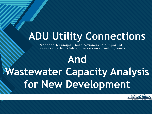## **ADU Utility Connections**

Proposed Municipal Code revisions in support of increased affordability of accessory dwelling units

**COLLEGE TO EXECUTE** 

# **And Wastewater Capacity Analysis for New Development**

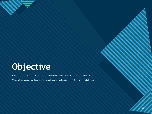## **Objective**

**Click to edit Master title style**

Reduce barriers and affordability of ADUs in the City Maintaining integrity and operations of City Utilities

 $\boldsymbol{Z}$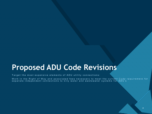### **Proposed ADU Code Revisions**

Target the most expensive elements of ADU utility connections:

Work in the Right of Way and associated fees necessary to meet the current Code requirement for separate independent connections to City water and wastewater systems for  $\setminus\setminus\setminus\setminus\set$ 

14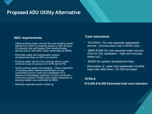### **Proposed ADU Utility Alternative**

#### **ADU requirements Cost reductions**

- Utilize existing water service line and existing sewer lateral from main to property (areas in right of way). At property line add sweep from existing water service line to new ADU meter (estimated at \$600).
- Eliminate water and wastewater system development fees on ADU connection.
- Existing water service line must be able to meet minimum level of service of 2 GPM @ 30 PSI.
- Verify existing sewer line integrity. Video inspection of existing sewer lateral downstream of new connection point to main and installation of a cleanout immediately upstream of new connection point are required. Private party video inspection of existing lateral cost estimated at \$500.
- Maintain separate power metering.

- -\$10,000+/- No new separate wastewater service. (Construction cost in ROW only)
- -\$680-\$1680 No new separate water service. (Fee for City installation. High end includes street cut.)
- -\$4520 No system development fees.
- Elimination of water and wastewater monthly base rate utility fees (- \$1,029 annually)

#### **TOTALS**

#### **\$15,200-\$16,200 Estimated total cost reduction**

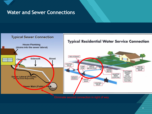

### **Water and Sewer Connections**

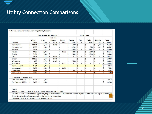### **Utility Connection Comparisons**

|                                                                              | <b>Util. System Dev. Charges</b>                                                                                                                |            |                    |        |                             |                          |                    |                          | <b>Impact Fees</b>   |                          |                    |                              |                      |                              |                      |                          |                      |        |
|------------------------------------------------------------------------------|-------------------------------------------------------------------------------------------------------------------------------------------------|------------|--------------------|--------|-----------------------------|--------------------------|--------------------|--------------------------|----------------------|--------------------------|--------------------|------------------------------|----------------------|------------------------------|----------------------|--------------------------|----------------------|--------|
|                                                                              | <b>Water</b>                                                                                                                                    |            | <b>Sewer</b>       |        | Local Fac.<br><b>Charge</b> |                          | <b>Storm</b>       |                          | Transp.              |                          | <b>Fire</b>        |                              | <b>Parks</b>         |                              | <b>Schools</b>       |                          | <b>Total</b>         |        |
| Olympia                                                                      | \$                                                                                                                                              | 4,433      | \$                 | 9,860  | $\mathsf{\hat{S}}$          | 6,418                    | $\mathsf{\hat{S}}$ | 1,440                    | $\mathsf{\hat{S}}$   | 3,662                    | \$                 | $\overline{\phantom{a}}$     | \$                   | 5,581                        | \$                   | 5,448                    | $\zeta$              | 36,842 |
| <b>Port Orchard</b>                                                          | \$                                                                                                                                              | 11,571     | \$                 | 12,122 | Ŝ                           | 5,569                    | $\mathsf{\hat{S}}$ | $\overline{a}$           | \$                   | 4,977                    | \$                 | $\overline{\phantom{a}}$     | \$                   |                              | \$                   | 1,371                    | S                    | 35,609 |
| <b>Mount Vernon</b>                                                          | \$                                                                                                                                              | 7,530      | Ś                  | 7,859  | $\mathsf{\hat{S}}$          | $\blacksquare$           | \$                 | $\overline{a}$           | \$                   | 5,292                    | $\mathsf{\hat{S}}$ | i.                           | \$                   | 855                          | Ś                    | 9,421                    | Ś                    | 30,957 |
| Bend, OR                                                                     | \$                                                                                                                                              | 5,857      | \$                 | 5,223  | $\overline{\mathsf{s}}$     | $\blacksquare$           | \$                 | $\overline{a}$           | \$                   | 8,543                    | \$                 | $\blacksquare$               | \$                   | 8,867                        | \$                   | $\overline{\phantom{a}}$ | \$                   | 28,490 |
| Poulsbo                                                                      | \$                                                                                                                                              | 4,802      | \$                 | 10,965 |                             |                          | \$                 | 1,323                    | \$                   | 5,324                    | $\mathsf{\hat{S}}$ | $\overline{a}$               | \$                   | 1,248                        | $\mathsf{\hat{S}}$   | $\overline{\phantom{a}}$ | \$                   | 23,661 |
| Sequim                                                                       | \$                                                                                                                                              | 8,184      | \$                 | 7,548  | $\mathsf{S}$                | $\overline{a}$           | \$                 | ä,                       | \$                   | 2,491                    | \$                 | $\qquad \qquad \blacksquare$ | \$                   | 2,210                        | $\mathsf{\hat{S}}$   | $\blacksquare$           | \$                   | 20,433 |
| Lacy                                                                         | \$                                                                                                                                              | 5,449      | \$                 | 8,143  | <sub>S</sub>                | 6,083                    | Ś                  | $\overline{\phantom{a}}$ | \$                   |                          | \$                 | $\overline{a}$               | \$                   |                              | \$                   | $\blacksquare$           | \$                   | 19,674 |
| Chelan                                                                       | Ś                                                                                                                                               | 11,926     | $\mathsf{\hat{S}}$ | 5,531  | Ŝ                           | 1,970                    | Ś                  | $\frac{1}{2}$            | \$                   | $\blacksquare$           | \$                 | $\ddot{\phantom{1}}$         | \$                   | $\blacksquare$               | \$                   | $\blacksquare$           | \$                   | 19,427 |
| Wenatchee                                                                    | \$                                                                                                                                              | 600        | \$                 | 3,710  | <sup>S</sup>                | 6,389                    | \$                 | ä,                       | \$                   | 7,500                    | \$                 | $\frac{1}{2}$                | \$                   | $\blacksquare$               | \$                   | $\blacksquare$           | \$                   | 18,199 |
| <b>Bremerton</b>                                                             | \$                                                                                                                                              | 6,291      | \$                 | 7,342  | S                           | $\overline{\phantom{a}}$ | \$                 | 1,510                    | \$                   |                          | \$                 | ٠                            | \$                   | $\frac{1}{2}$                | \$                   | $\overline{\phantom{a}}$ | \$                   | 15,143 |
| <b>Port Townsend</b>                                                         | Ś                                                                                                                                               | 4,494      | \$                 | 3,758  | $\mathsf{\hat{S}}$          | $\overline{\phantom{m}}$ | \$                 |                          | \$                   | $\frac{1}{2}$            | \$                 | $\overline{a}$               | \$                   | $\frac{1}{2}$                | \$                   | $\overline{a}$           | \$                   | 8,252  |
| Leavenworth                                                                  | \$                                                                                                                                              | 3,899      | \$                 | 2,620  | Ś                           | $\overline{\phantom{a}}$ | \$                 | 1,034                    | \$                   | $\frac{1}{2}$            | \$                 |                              | \$                   | $\qquad \qquad \blacksquare$ | \$                   | $\overline{\phantom{a}}$ | \$                   | 7,554  |
| <b>Oak Harbor</b>                                                            | $\ddot{\phantom{0}}$                                                                                                                            | $3.081$ \$ |                    | 1.680S |                             |                          | $\zeta$            |                          | $\ddot{\phantom{0}}$ | 907                      | \$                 |                              | $\ddot{\phantom{0}}$ |                              | $\ddot{\phantom{0}}$ |                          | $\ddot{\phantom{0}}$ | 5.668  |
| <b>Port Angeles</b>                                                          | $\mathsf{S}$                                                                                                                                    | $2,260$ \$ |                    | 2.260S |                             | $\sim$                   | $\zeta$            | $\sim$                   | $\zeta$              | $\overline{\phantom{a}}$ | $\mathsf{\hat{S}}$ | $\sim$                       | $\mathsf{\hat{S}}$   | $\blacksquare$               | $\mathsf{\hat{S}}$   | $\blacksquare$           | $\mathsf{\hat{S}}$   | 4,520  |
| If adjust for inflation at 3.2%                                              |                                                                                                                                                 |            |                    |        |                             |                          |                    |                          |                      |                          |                    |                              |                      |                              |                      |                          |                      |        |
| Port Townsend 2015                                                           | Ś                                                                                                                                               | 4,494      | \$                 | 3,758  |                             |                          |                    |                          |                      |                          |                    |                              |                      |                              |                      |                          | \$                   | 8,252  |
| Port Townsend 2022                                                           | \$                                                                                                                                              | 5,603      | \$                 | 4,685  |                             |                          |                    |                          |                      |                          |                    |                              |                      |                              |                      |                          | \$                   | 10,288 |
| Notes:                                                                       |                                                                                                                                                 |            |                    |        |                             |                          |                    |                          |                      |                          |                    |                              |                      |                              |                      |                          |                      |        |
| Sequim include a 1.5 factor of facilities charges for outside the City Limts |                                                                                                                                                 |            |                    |        |                             |                          |                    |                          |                      |                          |                    |                              |                      |                              |                      |                          |                      |        |
|                                                                              | Wenatchee Local Facilities Charge applies only to pipe installed by the City for Sewer. Transp. Impact Fee is for a specific region of the City |            |                    |        |                             |                          |                    |                          |                      |                          |                    |                              |                      |                              |                      |                          |                      |        |
|                                                                              | Chelan Local Facilities Charge depends on the location of connection                                                                            |            |                    |        |                             |                          |                    |                          |                      |                          |                    |                              |                      |                              |                      |                          |                      |        |
|                                                                              | Olympia Local Facilities charge is for the regional system.                                                                                     |            |                    |        |                             |                          |                    |                          |                      |                          |                    |                              |                      |                              |                      |                          |                      |        |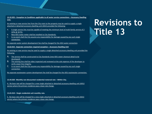**13.32.025 – Exception to Conditions applicable to all water service connections – Accessory Dwelling Unit.**

An existing or new service line from the City main to the property may be used to supply a single attached or detached accessory dwelling unit (ADU) provided the following:

**Click to edit Master title style**

- A. A single service line must be capable of meeting the minimum level of multi-family service of 2 GPM @ 30 PSI.
- B. New ADU water meter shall be installed to City Standards.
- C. In no event shall the City assume any responsibility for damage caused by any such single connection.

No separate water system development fee shall be charged for the ADU water connection.

#### **13.62.015 - Separate connection required exception – Accessory Dwelling Unit**

An existing or new service may be used to supply a single detached accessory dwelling unit provided the following:

- A. The service shall be constructed to City Standards (new ADU sewer cleanout detail to be developed).
- B. The existing line shall be video inspected and reviewed at the sole expense of the developer to verify sewer line integrity.
- C. In no event shall the City assume any responsibility for damage caused by any such single connection.

No separate wastewater system development fee shall be charged for the ADU wastewater connection.

**13.44.020 - Monthly non-discounted residential metered rate – Within City.** 

H. No base rate will be charged for a new single attached or detached accessory dwelling unit (ADU) service where the primary residence pays a base rate charge.

#### **13.65.010 – Single residential unit monthly rate.**

E. No base rate will be charged for a new single attached or detached accessory dwelling unit (ADU) service where the primary residence pays a base rate charge.

**Revisions to Title 13**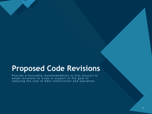### **Proposed Code Revisions**

**Click to edit Master title style**

Provide a favorable recommendation to City Council to adopt revisions to Code in support of the goal of reducing the cost of ADU construction and operation.

19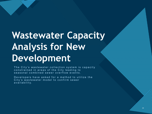## **Wastewater Capacity Analysis for New Development**

**Click to edit Master title style**

The City's wastewater collection system is capacity constrained in areas of the City leading to seasonal combined sewer overflow events.

Developers have asked for a method to utilize the City's wastewater model to confirm sewer availability.

20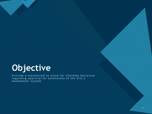## **Objective**

**Click to edit Master title style**

Provide a mechanism to allow for informed decisions regarding approval for extensions of the City's wastewater system.

21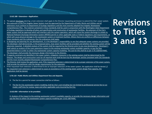**13.62.180 - Extensions—Application.**

- A. The person developer desiring a main extension shall apply to the Director requesting permission to extend the City's sewer system.
- B. Any extension of the Port Angeles Sewer System must be approved by the Department of Public Works and Utilities and all extensions must conform to Department of Ecology regulations and the most recently adopted Port Angeles Wastewater Comprehensive Plan. The material contained in these standards shall be used in conjunction with the Washington State Department of Ecology regulations to develop all plans and specification and construction of wastewater facilities. No extension of the City's sewer system shall be approved which will interfere with the system operation, which will cause the system discharge to violate its National Pollutant Discharge Elimination System (NPDES) permit or other applicable state or Federal regulations and requirements, or which will cause physical damage to the wastewater system or treatment facilities. Where there are conflicts or differences between these standards and City ordinances, the City ordinances shall apply.
- C. In designing and planning for any development, it is the developer's responsibility to see that adequate sewer systems are provided. The developer shall demonstrate, in the proposed plans, how sewer facilities will be provided and whether the existing system will be adversely impacted. A detailed analysis of the system shall be required by the Director prior to any new development. Developer's shall submit an analysis of the main extensions impact to the existing wastewater system available capacity, or pay the fees presented below in order to utilize City wastewater system capacity modeling. The cost for this shall be as per 3.70.110(H)6 PAMC. The developer shall provide the necessary design information to the Director.
- D. If capacity constrains are identified in the sewer system, mitigation measures in the existing system shall be determined by the Director. The design and construction costs for all required work shall be born by the developer and be consistent with City standards and the most recently adopted Wastewater Comprehensive Plan.
- E. The Director shall review the application, and, if the requested extension is determined to be a proper extension of the sewer system, shall provide the petitioner with the design requirements for the extension.
- F. If the requested main extension is determined to be an improper extension of the sewer system, the application shall be denied. If the requested main extension is determined to cause an exceedance of the existing sewer system design flow capacity, the application shall be denied.

#### **3.70.110 - Public Works and Utilities Department fees and deposits.**

**Click to edit Master title style**

- H. The fee for a permit for sewer connection shall be as follows:
- 6. The fee for City wastewater system modeling shall be City's cost including but not limited to professional service fee to run model, staff time for review, taxes and other applicable costs incurred by the City.

#### **13.62.050 - Information to be provided.**

H. Analysis of the impact to the existing wastewater system's available capacity, or provide the necessary design information and pay the fees to utilize City wastewater system capacity modeling per 13.62.180 PAMC.

### **Revisions to Titles 3 and 13**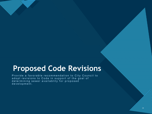### **Proposed Code Revisions**

**Click to edit Master title style**

Provide a favorable recommendation to City Council to adopt revisions to Code in support of the goal of determining sewer availablity for proposed development.

23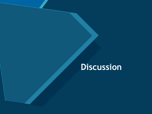### **Discussion**

**Click to edit Master title style**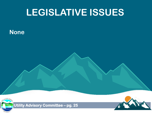## **LEGISLATIVE ISSUES**

### **None**





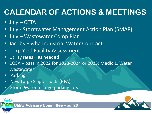## **CALENDAR OF ACTIONS & MEETINGS**

- July CETA
- July Stormwater Management Action Plan (SMAP)
- July Wastewater Comp Plan
- Jacobs Elwha Industrial Water Contract
- Corp Yard Facility Assessment
- Utility rates as needed
- COSA pass in 2022 for 2023-2024 or 2025: Medic 1, Water, **Wastewater**
- **Parking**
- New Large Single Loads (BPA)
- Storm Water in large parking lots



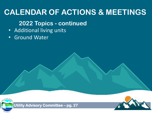### **CALENDAR OF ACTIONS & MEETINGS**

### **2022 Topics - continued**

- Additional living units
- Ground Water





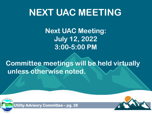## **NEXT UAC MEETING**

**Next UAC Meeting: July 12, 2022 3:00-5:00 PM**

**Committee meetings will be held virtually unless otherwise noted.**